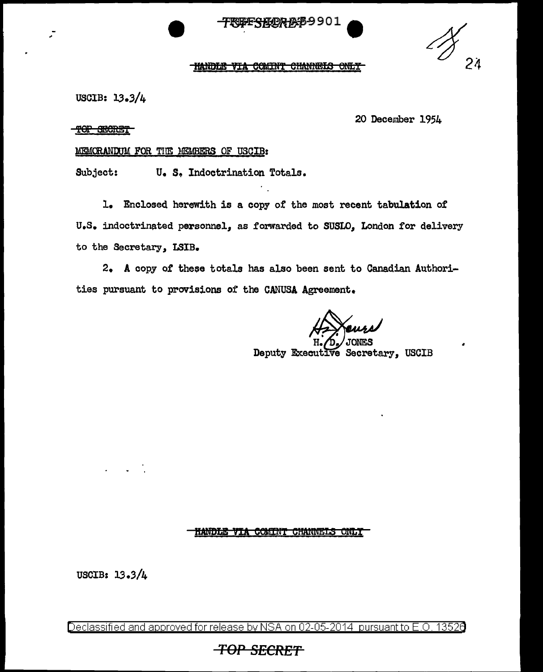## <del>TRIBES KOR MS 9</del>901

•

#### **HANDLE VIA COMINT CHANNELS ONLY**

USCIB: JJ.3/4

20 December 1954

TOP SECRET

; -

### MEMORANDUM FOR THE MEMBERS OF USCIB:

Subject: **u. s.** Indoctrination Totals.

1. Enclosed herewith is a copy of the most recent tabulation of U.S. indoctrinated personnel, as forwarded to SUSLO, London for delivery to the Secretary, LSIB.

2. A copy of these totals has also been sent to Canadian Authorities pursuant to provisions of the CANUSA Agreement.

 $H. \n *D*$  JONES

Deputy Executive Secretary, USCIB

### **HANDLE VIA COMINT CHANNELS ONLY**

USCIB: lJ .3/4

Declassified and approved for release by NSA on 02-05-2014 pursuant to E.O. 13526

# *TOP SECRET*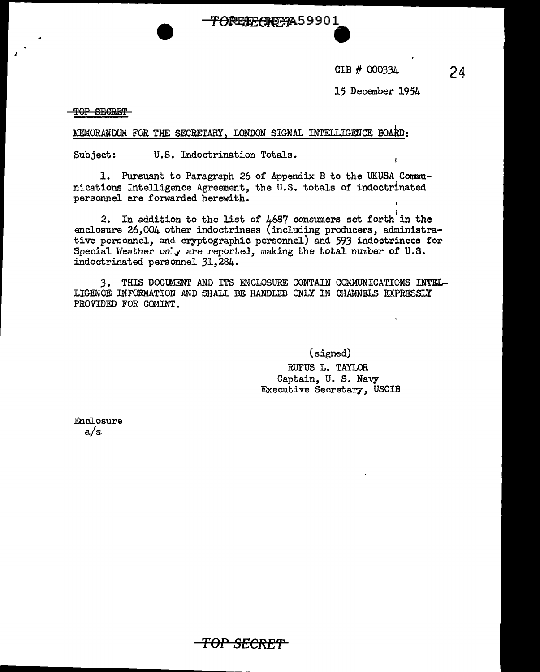CIB # 000334

15 December 1954

TOP SECRET

I

MEMORANDUM. FOR THE SECRETARY, LONDON SIGNAL INTELLIGENCE BOARD:

Subject: U.S. Indoctrination Totals.

1. Pursuant to Paragraph 26 of Appendix B to the UKUSA Communications Intelligence Agreement, the U.S. totals of indoctrinated personnel are forwarded herewith.

OREFFORPA59901

2. In addition to the list of  $4687$  consumers set forth in the enclosure 26,004 other indoctrinees (including producers, administrative personnel, and cryptographic personnel) and 593 indoctrinees for Special Weather only are reported, making the total number of U.S. indoctrinated personnel 31,284.

3. THIS DOCUMENT AND ITS ENCLOSURE CONTAIN COMMUNICATIONS INTEL-LIGENCE INFORMATION AND SHALL BE HANDLED ONLY IN CHANNELS EXPRESSLY PROVIDED FOR COMINT.

(signed)

RUFUS L. TAYLOR Captain, U. S. Navy Executive Secretary, USCIB

Enclosure a/s.

**TOP SECRE'f**